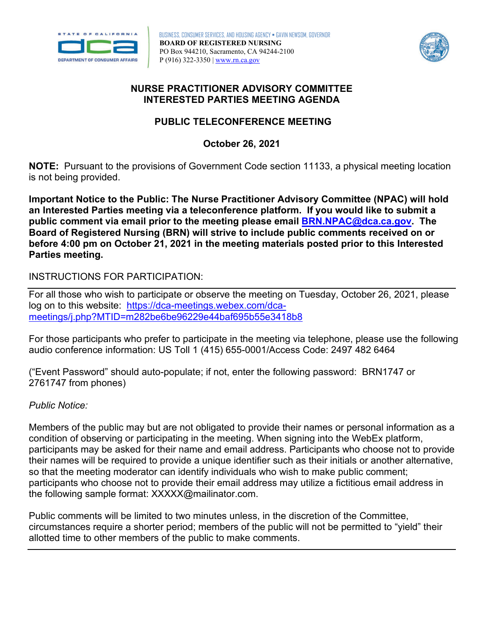

BUSINESS, CONSUMER SERVICES, AND HOUSING AGENCY • GAVIN NEWSOM, GOVERNOR **BOARD OF REGISTERED NURSING**  PO Box 944210, Sacramento, CA 94244-2100 P (916) 322-3350 | [www.rn.ca.gov](http://www.rn.ca.gov/) 



#### **NURSE PRACTITIONER ADVISORY COMMITTEE INTERESTED PARTIES MEETING AGENDA**

#### **PUBLIC TELECONFERENCE MEETING**

 **October 26, 2021** 

 is not being provided. **NOTE:** Pursuant to the provisions of Government Code section 11133, a physical meeting location

 **Important Notice to the Public: The Nurse Practitioner Advisory Committee (NPAC) will hold an Interested Parties meeting via a teleconference platform. If you would like to submit a public comment via email prior to the meeting please email [BRN.NPAC@dca.ca.gov.](mailto:BRN.NPAC@dca.ca.gov) The Board of Registered Nursing (BRN) will strive to include public comments received on or Parties meeting. before 4:00 pm on October 21, 2021 in the meeting materials posted prior to this Interested** 

### INSTRUCTIONS FOR PARTICIPATION:

 log on to this website: [https://dca-meetings.webex.com/dca-](https://dca-meetings.webex.com/dca-meetings/j.php?MTID=m282be6be96229e44baf695b55e3418b8)For all those who wish to participate or observe the meeting on Tuesday, October 26, 2021, please [meetings/j.php?MTID=m282be6be96229e44baf695b55e3418b8](https://dca-meetings.webex.com/dca-meetings/j.php?MTID=m282be6be96229e44baf695b55e3418b8) 

 audio conference information: US Toll 1 (415) 655-0001/Access Code: 2497 482 6464 For those participants who prefer to participate in the meeting via telephone, please use the following

 ("Event Password" should auto-populate; if not, enter the following password: BRN1747 or 2761747 from phones)

#### *Public Notice:*

 Members of the public may but are not obligated to provide their names or personal information as a condition of observing or participating in the meeting. When signing into the WebEx platform, participants may be asked for their name and email address. Participants who choose not to provide their names will be required to provide a unique identifier such as their initials or another alternative, so that the meeting moderator can identify individuals who wish to make public comment; participants who choose not to provide their email address may utilize a fictitious email address in the following sample format: [XXXXX@mailinator.com.](mailto:XXXXX@mailinator.com)

Public comments will be limited to two minutes unless, in the discretion of the Committee, circumstances require a shorter period; members of the public will not be permitted to "yield" their allotted time to other members of the public to make comments.